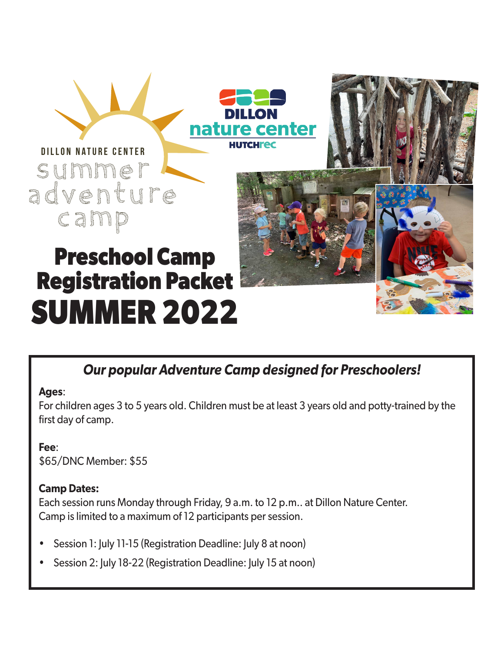

## *Our popular Adventure Camp designed for Preschoolers!*

### **Ages**:

For children ages 3 to 5 years old. Children must be at least 3 years old and potty-trained by the first day of camp.

**Fee**: \$65/DNC Member: \$55

### **Camp Dates:**

Each session runs Monday through Friday, 9 a.m. to 12 p.m.. at Dillon Nature Center. Camp is limited to a maximum of 12 participants per session.

- Session 1: July 11-15 (Registration Deadline: July 8 at noon)
- Session 2: July 18-22 (Registration Deadline: July 15 at noon)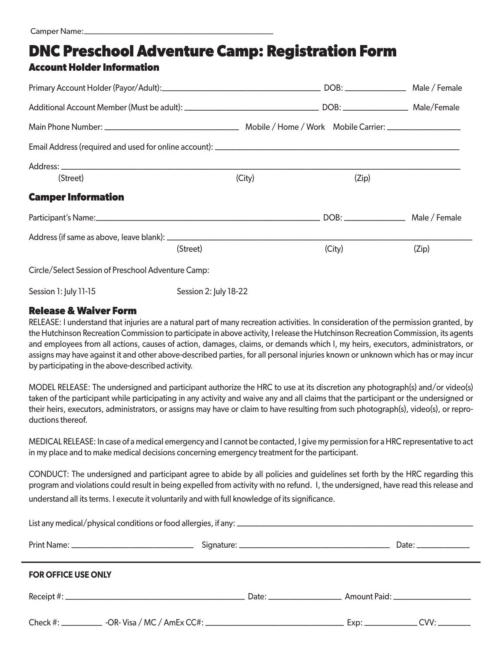## **DNC Preschool Adventure Camp: Registration Form**

#### **Account Holder Information**

| (Street)                                           | (City) | (Zip)  |       |
|----------------------------------------------------|--------|--------|-------|
| <b>Camper Information</b>                          |        |        |       |
|                                                    |        |        |       |
|                                                    |        |        |       |
| (Street)                                           |        | (City) | (Zip) |
| Circle/Select Session of Preschool Adventure Camp: |        |        |       |

Session 1: July 11-15 Session 2: July 18-22

#### **Release & Waiver Form**

RELEASE: I understand that injuries are a natural part of many recreation activities. In consideration of the permission granted, by the Hutchinson Recreation Commission to participate in above activity, I release the Hutchinson Recreation Commission, its agents and employees from all actions, causes of action, damages, claims, or demands which I, my heirs, executors, administrators, or assigns may have against it and other above-described parties, for all personal injuries known or unknown which has or may incur by participating in the above-described activity.

MODEL RELEASE: The undersigned and participant authorize the HRC to use at its discretion any photograph(s) and/or video(s) taken of the participant while participating in any activity and waive any and all claims that the participant or the undersigned or their heirs, executors, administrators, or assigns may have or claim to have resulting from such photograph(s), video(s), or reproductions thereof.

MEDICAL RELEASE: In case of a medical emergency and I cannot be contacted, I give my permission for a HRC representative to act in my place and to make medical decisions concerning emergency treatment for the participant.

CONDUCT: The undersigned and participant agree to abide by all policies and guidelines set forth by the HRC regarding this program and violations could result in being expelled from activity with no refund. I, the undersigned, have read this release and understand all its terms. I execute it voluntarily and with full knowledge of its significance.

| <b>FOR OFFICE USE ONLY</b> |  |  |
|----------------------------|--|--|
|                            |  |  |
|                            |  |  |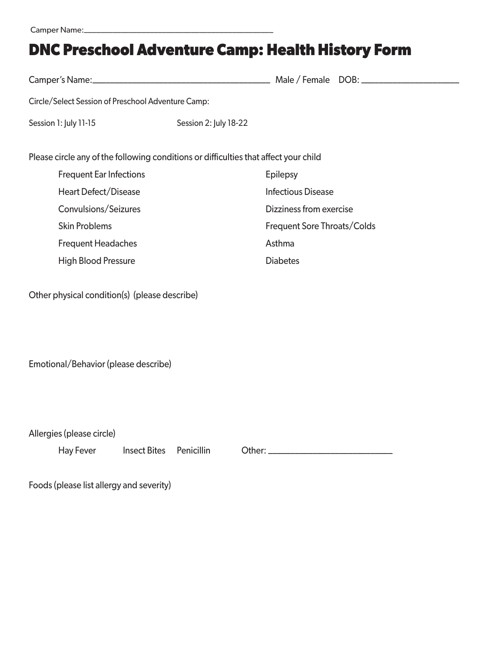# **DNC Preschool Adventure Camp: Health History Form**

Camper's Name:\_\_\_\_\_\_\_\_\_\_\_\_\_\_\_\_\_\_\_\_\_\_\_\_\_\_\_\_\_\_\_\_\_\_\_\_\_\_\_\_ Male / Female DOB: \_\_\_\_\_\_\_\_\_\_\_\_\_\_\_\_\_\_\_\_\_\_

Circle/Select Session of Preschool Adventure Camp:

Session 1: July 11-15 Session 2: July 18-22

Please circle any of the following conditions or difficulties that affect your child

| <b>Frequent Ear Infections</b> | Epilepsy                    |
|--------------------------------|-----------------------------|
| Heart Defect/Disease           | <b>Infectious Disease</b>   |
| Convulsions/Seizures           | Dizziness from exercise     |
| <b>Skin Problems</b>           | Frequent Sore Throats/Colds |
| <b>Frequent Headaches</b>      | Asthma                      |
| <b>High Blood Pressure</b>     | <b>Diabetes</b>             |

Other physical condition(s) (please describe)

Emotional/Behavior (please describe)

Allergies (please circle)

Hay Fever Insect Bites Penicillin Other: \_\_\_\_\_\_\_\_\_\_\_\_\_\_\_\_\_\_\_\_\_\_\_\_\_\_\_\_

Foods (please list allergy and severity)